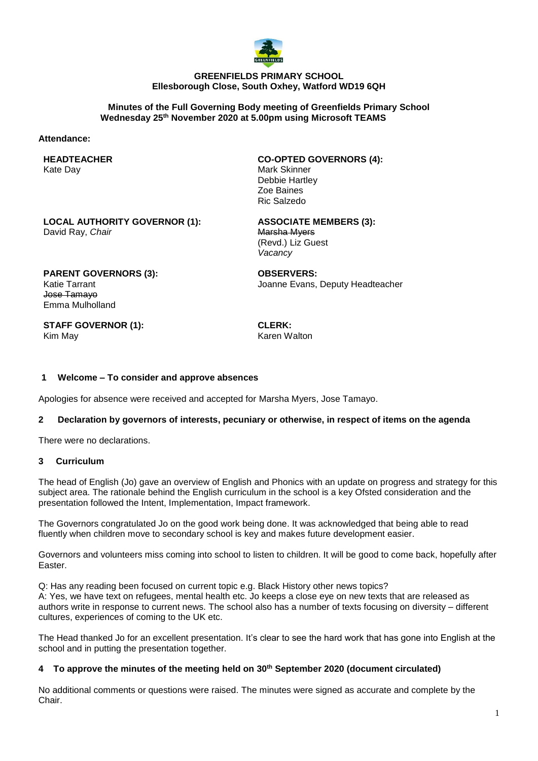

#### **GREENFIELDS PRIMARY SCHOOL Ellesborough Close, South Oxhey, Watford WD19 6QH**

#### **Minutes of the Full Governing Body meeting of Greenfields Primary School Wednesday 25th November 2020 at 5.00pm using Microsoft TEAMS**

#### **Attendance:**

#### **HEADTEACHER** Kate Day

**CO-OPTED GOVERNORS (4):** Mark Skinner Debbie Hartley Zoe Baines Ric Salzedo

**LOCAL AUTHORITY GOVERNOR (1):** David Ray, *Chair*

**ASSOCIATE MEMBERS (3):** Marsha Myers (Revd.) Liz Guest *Vacancy*

**PARENT GOVERNORS (3):** Katie Tarrant Jose Tamayo Emma Mulholland

**OBSERVERS:** Joanne Evans, Deputy Headteacher

**STAFF GOVERNOR (1):** Kim May

**CLERK:** Karen Walton

# **1 Welcome – To consider and approve absences**

Apologies for absence were received and accepted for Marsha Myers, Jose Tamayo.

# **2 Declaration by governors of interests, pecuniary or otherwise, in respect of items on the agenda**

There were no declarations.

## **3 Curriculum**

The head of English (Jo) gave an overview of English and Phonics with an update on progress and strategy for this subject area. The rationale behind the English curriculum in the school is a key Ofsted consideration and the presentation followed the Intent, Implementation, Impact framework.

The Governors congratulated Jo on the good work being done. It was acknowledged that being able to read fluently when children move to secondary school is key and makes future development easier.

Governors and volunteers miss coming into school to listen to children. It will be good to come back, hopefully after Easter.

Q: Has any reading been focused on current topic e.g. Black History other news topics?

A: Yes, we have text on refugees, mental health etc. Jo keeps a close eye on new texts that are released as authors write in response to current news. The school also has a number of texts focusing on diversity – different cultures, experiences of coming to the UK etc.

The Head thanked Jo for an excellent presentation. It's clear to see the hard work that has gone into English at the school and in putting the presentation together.

# **4 To approve the minutes of the meeting held on 30th September 2020 (document circulated)**

No additional comments or questions were raised. The minutes were signed as accurate and complete by the Chair.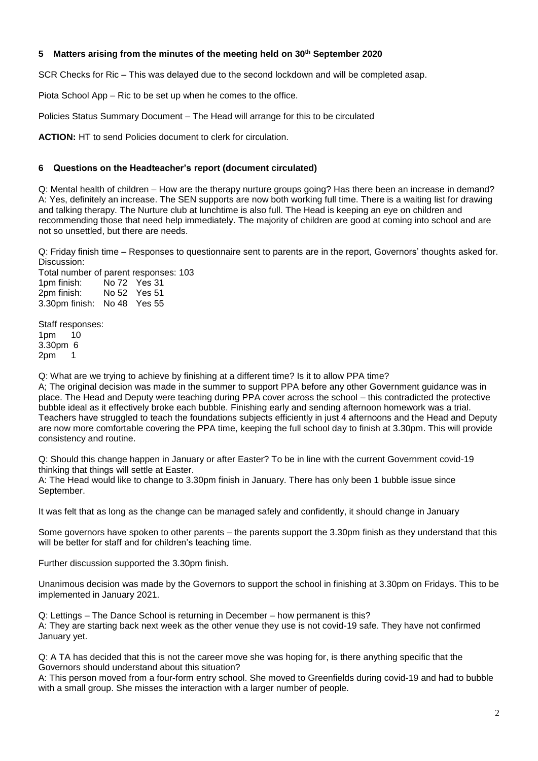## **5 Matters arising from the minutes of the meeting held on 30th September 2020**

SCR Checks for Ric – This was delayed due to the second lockdown and will be completed asap.

Piota School App – Ric to be set up when he comes to the office.

Policies Status Summary Document – The Head will arrange for this to be circulated

**ACTION:** HT to send Policies document to clerk for circulation.

# **6 Questions on the Headteacher's report (document circulated)**

Q: Mental health of children – How are the therapy nurture groups going? Has there been an increase in demand? A: Yes, definitely an increase. The SEN supports are now both working full time. There is a waiting list for drawing and talking therapy. The Nurture club at lunchtime is also full. The Head is keeping an eye on children and recommending those that need help immediately. The majority of children are good at coming into school and are not so unsettled, but there are needs.

Q: Friday finish time – Responses to questionnaire sent to parents are in the report, Governors' thoughts asked for. Discussion:

Total number of parent responses: 103<br>1pm finish: No 72 Yes 31 No 72 Yes 31 2pm finish: No 52 Yes 51 3.30pm finish: No 48 Yes 55

Staff responses: 1pm 10 3.30pm 6 2pm 1

Q: What are we trying to achieve by finishing at a different time? Is it to allow PPA time?

A; The original decision was made in the summer to support PPA before any other Government guidance was in place. The Head and Deputy were teaching during PPA cover across the school – this contradicted the protective bubble ideal as it effectively broke each bubble. Finishing early and sending afternoon homework was a trial. Teachers have struggled to teach the foundations subjects efficiently in just 4 afternoons and the Head and Deputy are now more comfortable covering the PPA time, keeping the full school day to finish at 3.30pm. This will provide consistency and routine.

Q: Should this change happen in January or after Easter? To be in line with the current Government covid-19 thinking that things will settle at Easter.

A: The Head would like to change to 3.30pm finish in January. There has only been 1 bubble issue since September.

It was felt that as long as the change can be managed safely and confidently, it should change in January

Some governors have spoken to other parents – the parents support the 3.30pm finish as they understand that this will be better for staff and for children's teaching time.

Further discussion supported the 3.30pm finish.

Unanimous decision was made by the Governors to support the school in finishing at 3.30pm on Fridays. This to be implemented in January 2021.

Q: Lettings – The Dance School is returning in December – how permanent is this? A: They are starting back next week as the other venue they use is not covid-19 safe. They have not confirmed January yet.

Q: A TA has decided that this is not the career move she was hoping for, is there anything specific that the Governors should understand about this situation?

A: This person moved from a four-form entry school. She moved to Greenfields during covid-19 and had to bubble with a small group. She misses the interaction with a larger number of people.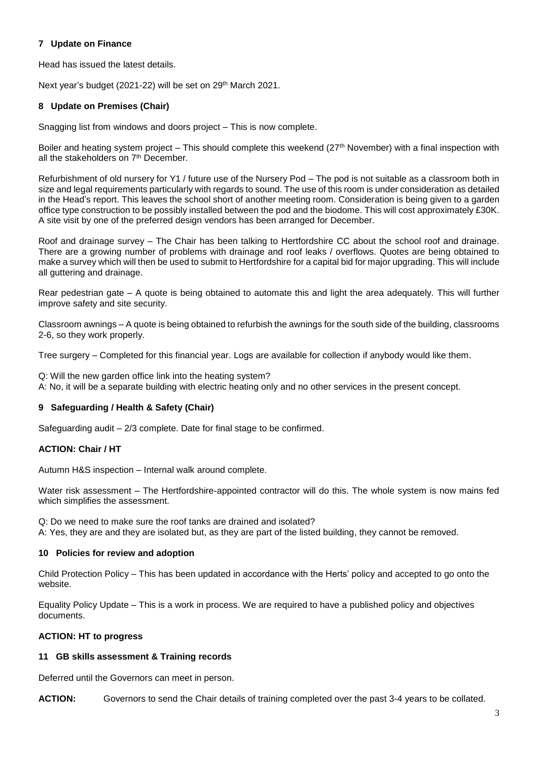## **7 Update on Finance**

Head has issued the latest details.

Next year's budget (2021-22) will be set on 29th March 2021.

# **8 Update on Premises (Chair)**

Snagging list from windows and doors project – This is now complete.

Boiler and heating system project – This should complete this weekend (27<sup>th</sup> November) with a final inspection with all the stakeholders on 7<sup>th</sup> December.

Refurbishment of old nursery for Y1 / future use of the Nursery Pod – The pod is not suitable as a classroom both in size and legal requirements particularly with regards to sound. The use of this room is under consideration as detailed in the Head's report. This leaves the school short of another meeting room. Consideration is being given to a garden office type construction to be possibly installed between the pod and the biodome. This will cost approximately £30K. A site visit by one of the preferred design vendors has been arranged for December.

Roof and drainage survey – The Chair has been talking to Hertfordshire CC about the school roof and drainage. There are a growing number of problems with drainage and roof leaks / overflows. Quotes are being obtained to make a survey which will then be used to submit to Hertfordshire for a capital bid for major upgrading. This will include all guttering and drainage.

Rear pedestrian gate – A quote is being obtained to automate this and light the area adequately. This will further improve safety and site security.

Classroom awnings – A quote is being obtained to refurbish the awnings for the south side of the building, classrooms 2-6, so they work properly.

Tree surgery – Completed for this financial year. Logs are available for collection if anybody would like them.

Q: Will the new garden office link into the heating system? A: No, it will be a separate building with electric heating only and no other services in the present concept.

# **9 Safeguarding / Health & Safety (Chair)**

Safeguarding audit – 2/3 complete. Date for final stage to be confirmed.

## **ACTION: Chair / HT**

Autumn H&S inspection – Internal walk around complete.

Water risk assessment – The Hertfordshire-appointed contractor will do this. The whole system is now mains fed which simplifies the assessment.

Q: Do we need to make sure the roof tanks are drained and isolated?

A: Yes, they are and they are isolated but, as they are part of the listed building, they cannot be removed.

## **10 Policies for review and adoption**

Child Protection Policy – This has been updated in accordance with the Herts' policy and accepted to go onto the website.

Equality Policy Update – This is a work in process. We are required to have a published policy and objectives documents.

## **ACTION: HT to progress**

## **11 GB skills assessment & Training records**

Deferred until the Governors can meet in person.

**ACTION:** Governors to send the Chair details of training completed over the past 3-4 years to be collated.